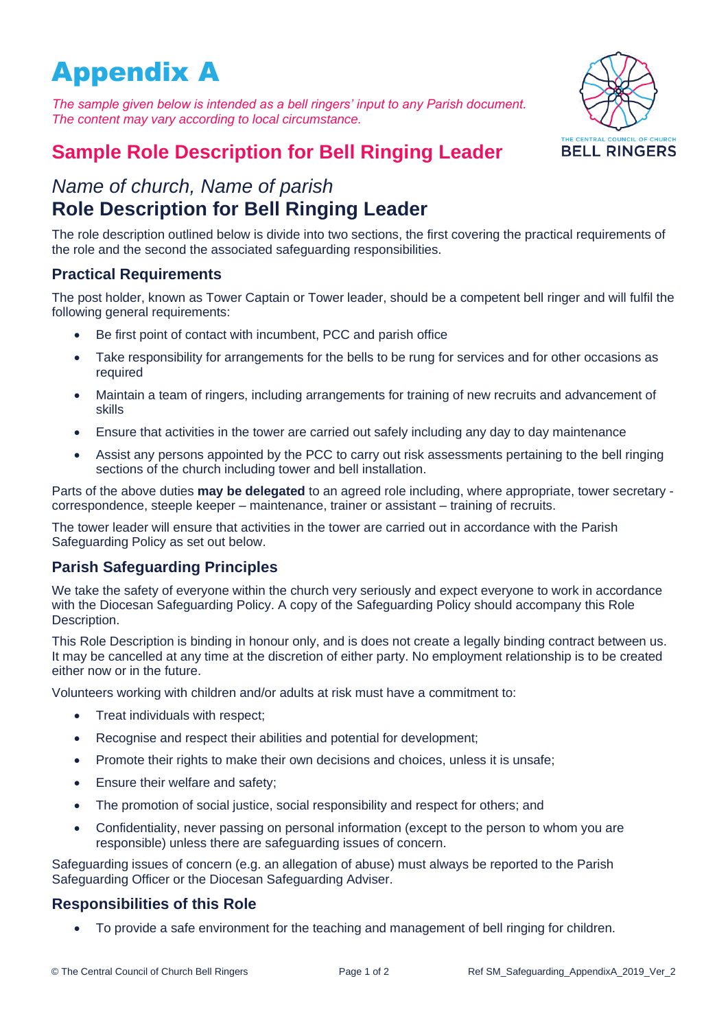# Appendix A

*The sample given below is intended as a bell ringers' input to any Parish document. The content may vary according to local circumstance.*



# **Sample Role Description for Bell Ringing Leader**

# *Name of church, Name of parish* **Role Description for Bell Ringing Leader**

The role description outlined below is divide into two sections, the first covering the practical requirements of the role and the second the associated safeguarding responsibilities.

# **Practical Requirements**

The post holder, known as Tower Captain or Tower leader, should be a competent bell ringer and will fulfil the following general requirements:

- Be first point of contact with incumbent, PCC and parish office
- Take responsibility for arrangements for the bells to be rung for services and for other occasions as required
- Maintain a team of ringers, including arrangements for training of new recruits and advancement of skills
- Ensure that activities in the tower are carried out safely including any day to day maintenance
- Assist any persons appointed by the PCC to carry out risk assessments pertaining to the bell ringing sections of the church including tower and bell installation.

Parts of the above duties **may be delegated** to an agreed role including, where appropriate, tower secretary correspondence, steeple keeper – maintenance, trainer or assistant – training of recruits.

The tower leader will ensure that activities in the tower are carried out in accordance with the Parish Safeguarding Policy as set out below.

# **Parish Safeguarding Principles**

We take the safety of everyone within the church very seriously and expect everyone to work in accordance with the Diocesan Safeguarding Policy. A copy of the Safeguarding Policy should accompany this Role Description.

This Role Description is binding in honour only, and is does not create a legally binding contract between us. It may be cancelled at any time at the discretion of either party. No employment relationship is to be created either now or in the future.

Volunteers working with children and/or adults at risk must have a commitment to:

- Treat individuals with respect;
- Recognise and respect their abilities and potential for development;
- Promote their rights to make their own decisions and choices, unless it is unsafe;
- Ensure their welfare and safety;
- The promotion of social justice, social responsibility and respect for others; and
- Confidentiality, never passing on personal information (except to the person to whom you are responsible) unless there are safeguarding issues of concern.

Safeguarding issues of concern (e.g. an allegation of abuse) must always be reported to the Parish Safeguarding Officer or the Diocesan Safeguarding Adviser.

# **Responsibilities of this Role**

• To provide a safe environment for the teaching and management of bell ringing for children.